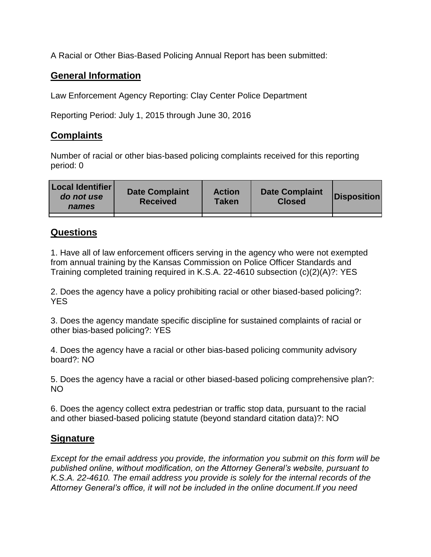A Racial or Other Bias-Based Policing Annual Report has been submitted:

## **General Information**

Law Enforcement Agency Reporting: Clay Center Police Department

Reporting Period: July 1, 2015 through June 30, 2016

## **Complaints**

Number of racial or other bias-based policing complaints received for this reporting period: 0

| <b>Local Identifier</b><br>do not use<br>names | <b>Date Complaint</b><br><b>Received</b> | <b>Action</b><br><b>Taken</b> | <b>Date Complaint</b><br><b>Closed</b> | Disposition |
|------------------------------------------------|------------------------------------------|-------------------------------|----------------------------------------|-------------|
|                                                |                                          |                               |                                        |             |

## **Questions**

1. Have all of law enforcement officers serving in the agency who were not exempted from annual training by the Kansas Commission on Police Officer Standards and Training completed training required in K.S.A. 22-4610 subsection (c)(2)(A)?: YES

2. Does the agency have a policy prohibiting racial or other biased-based policing?: YES

3. Does the agency mandate specific discipline for sustained complaints of racial or other bias-based policing?: YES

4. Does the agency have a racial or other bias-based policing community advisory board?: NO

5. Does the agency have a racial or other biased-based policing comprehensive plan?: NO

6. Does the agency collect extra pedestrian or traffic stop data, pursuant to the racial and other biased-based policing statute (beyond standard citation data)?: NO

## **Signature**

*Except for the email address you provide, the information you submit on this form will be published online, without modification, on the Attorney General's website, pursuant to K.S.A. 22-4610. The email address you provide is solely for the internal records of the Attorney General's office, it will not be included in the online document.If you need*